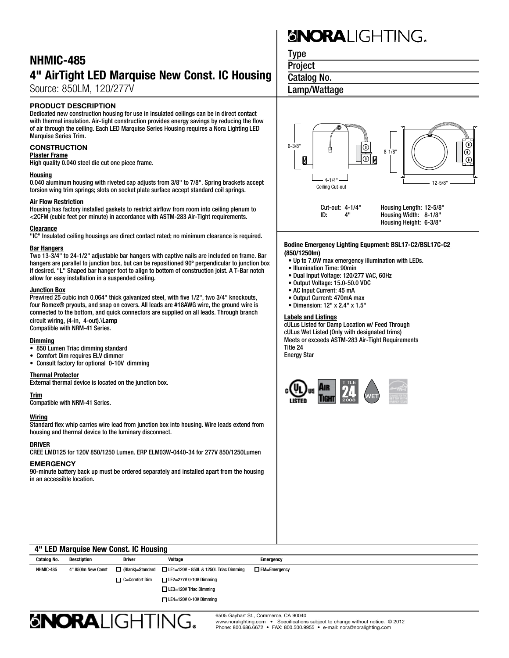### NHMIC-485 4" AirTight LED Marquise New Const. IC Housing

Source: 850LM, 120/277V

#### PRODUCT DESCRIPTION

Dedicated new construction housing for use in insulated ceilings can be in direct contact with thermal insulation. Air-tight construction provides energy savings by reducing the flow of air through the ceiling. Each LED Marquise Series Housing requires a Nora Lighting LED Marquise Series Trim.

#### **CONSTRUCTION**

#### Plaster Frame

High quality 0.040 steel die cut one piece frame.

#### **Housing**

0.040 aluminum housing with riveted cap adjusts from 3/8" to 7/8". Spring brackets accept torsion wing trim springs; slots on socket plate surface accept standard coil springs.

#### Air Flow Restriction

Housing has factory installed gaskets to restrict airflow from room into ceiling plenum to <2CFM (cubic feet per minute) in accordance with ASTM-283 Air-Tight requirements.

#### **Clearance**

"IC" Insulated ceiling housings are direct contact rated; no minimum clearance is required.

#### Bar Hangers

Two 13-3/4" to 24-1/2" adjustable bar hangers with captive nails are included on frame. Bar hangers are parallel to junction box, but can be repositioned 90º perpendicular to junction box if desired. "L" Shaped bar hanger foot to align to bottom of construction joist. A T-Bar notch allow for easy installation in a suspended ceiling.

#### Junction Box

Prewired 25 cubic inch 0.064" thick galvanized steel, with five 1/2", two 3/4" knockouts, four Romex® pryouts, and snap on covers. All leads are #18AWG wire, the ground wire is connected to the bottom, and quick connectors are supplied on all leads. Through branch circuit wiring, (4-in, 4-out).\Lamp Compatible with NRM-41 Series.

#### Dimming

- 850 Lumen Triac dimming standard
- • Comfort Dim requires ELV dimmer
- • Consult factory for optional 0-10V dimming

#### Thermal Protector

External thermal device is located on the junction box.

#### Trim

Compatible with NRM-41 Series.

#### Wiring

Standard flex whip carries wire lead from junction box into housing. Wire leads extend from housing and thermal device to the luminary disconnect.

#### DRIVER

CREE LMD125 for 120V 850/1250 Lumen. ERP ELM03W-0440-34 for 277V 850/1250Lumen

#### **EMERGENCY**

90-minute battery back up must be ordered separately and installed apart from the housing in an accessible location.

# **SNORALIGHTING.**

Type

**Project** 

Catalog No.

### Lamp/Wattage



#### **Bodine Emergency Lighting Equpment: BSL17-C2/BSL17C-C2 (850/1250lm)**

- Up to 7.0W max emergency illumination with LEDs.
- Illumination Time: 90min
- Dual Input Voltage: 120/277 VAC, 60Hz
- Output Voltage: 15.0-50.0 VDC
- AC Input Current: 45 mA
- Output Current: 470mA max
- Dimension: 12" x 2.4" x 1.5"

#### Labels and Listings

cULus Listed for Damp Location w/ Feed Through cULus Wet Listed (Only with designated trims) Meets or exceeds ASTM-283 Air-Tight Requirements Title 24

Energy Star



| 4" LED Marquise New Gorist. IG HOUSING |             |                    |                      |                                                                      |                     |  |  |
|----------------------------------------|-------------|--------------------|----------------------|----------------------------------------------------------------------|---------------------|--|--|
|                                        | Catalog No. | Desctiption        | <b>Driver</b>        | Voltage                                                              | Emergency           |  |  |
|                                        | NHMIC-485   | 4" 850lm New Const |                      | $\Box$ (Blank)=Standard $\Box$ LE1=120V - 850L & 1250L Triac Dimming | $\Box$ EM=Emergency |  |  |
|                                        |             |                    | $\Box$ C=Comfort Dim | $\Box$ LE2=277V 0-10V Dimming                                        |                     |  |  |
|                                        |             |                    |                      | $\Box$ LE3=120V Triac Dimming                                        |                     |  |  |
|                                        |             |                    |                      | $\Box$ LE4=120V 0-10V Dimming                                        |                     |  |  |
|                                        |             |                    |                      |                                                                      |                     |  |  |



4" LED Marquise New Const. IC Housing